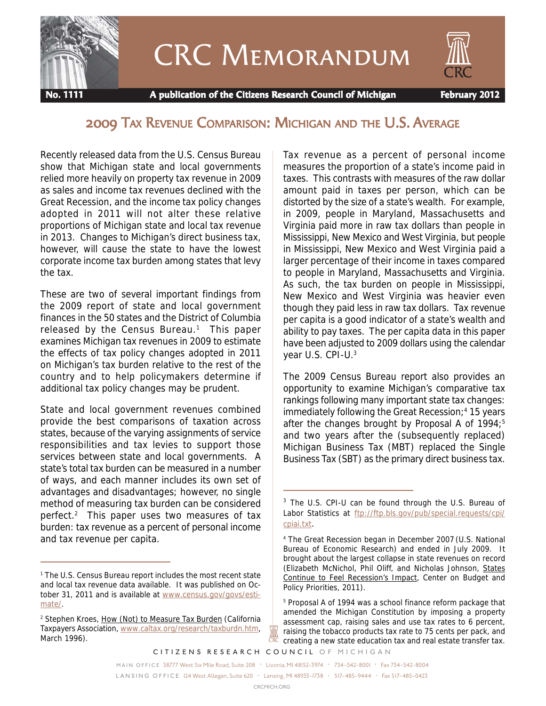

# CRC Memorandum



 **No. 1111 A publication of the Citizens Research Council of Michigan February 2012**

# 2009 TAX REVENUE COMPARISON: MICHIGAN AND THE U.S. AVERAGE

Recently released data from the U.S. Census Bureau show that Michigan state and local governments relied more heavily on property tax revenue in 2009 as sales and income tax revenues declined with the Great Recession, and the income tax policy changes adopted in 2011 will not alter these relative proportions of Michigan state and local tax revenue in 2013. Changes to Michigan's direct business tax, however, will cause the state to have the lowest corporate income tax burden among states that levy the tax.

These are two of several important findings from the 2009 report of state and local government finances in the 50 states and the District of Columbia released by the Census Bureau.<sup>1</sup> This paper examines Michigan tax revenues in 2009 to estimate the effects of tax policy changes adopted in 2011 on Michigan's tax burden relative to the rest of the country and to help policymakers determine if additional tax policy changes may be prudent.

State and local government revenues combined provide the best comparisons of taxation across states, because of the varying assignments of service responsibilities and tax levies to support those services between state and local governments. A state's total tax burden can be measured in a number of ways, and each manner includes its own set of advantages and disadvantages; however, no single method of measuring tax burden can be considered perfect.2 This paper uses two measures of tax burden: tax revenue as a percent of personal income and tax revenue per capita.

Tax revenue as a percent of personal income measures the proportion of a state's income paid in taxes. This contrasts with measures of the raw dollar amount paid in taxes per person, which can be distorted by the size of a state's wealth. For example, in 2009, people in Maryland, Massachusetts and Virginia paid more in raw tax dollars than people in Mississippi, New Mexico and West Virginia, but people in Mississippi, New Mexico and West Virginia paid a larger percentage of their income in taxes compared to people in Maryland, Massachusetts and Virginia. As such, the tax burden on people in Mississippi, New Mexico and West Virginia was heavier even though they paid less in raw tax dollars. Tax revenue per capita is a good indicator of a state's wealth and ability to pay taxes. The per capita data in this paper have been adjusted to 2009 dollars using the calendar year U.S. CPI-U.3

The 2009 Census Bureau report also provides an opportunity to examine Michigan's comparative tax rankings following many important state tax changes: immediately following the Great Recession;<sup>4</sup> 15 years after the changes brought by Proposal A of  $1994$ ;<sup>5</sup> and two years after the (subsequently replaced) Michigan Business Tax (MBT) replaced the Single Business Tax (SBT) as the primary direct business tax.

₩

<sup>&</sup>lt;sup>1</sup> The U.S. Census Bureau report includes the most recent state and local tax revenue data available. It was published on October 31, 2011 and is available at www.census.gov/govs/estimate/.

<sup>&</sup>lt;sup>2</sup> Stephen Kroes, How (Not) to Measure Tax Burden (California Taxpayers Association, www.caltax.org/research/taxburdn.htm, March 1996).

<sup>&</sup>lt;sup>3</sup> The U.S. CPI-U can be found through the U.S. Bureau of Labor Statistics at ftp://ftp.bls.gov/pub/special.requests/cpi/ cpiai.txt.

<sup>4</sup> The Great Recession began in December 2007 (U.S. National Bureau of Economic Research) and ended in July 2009. It brought about the largest collapse in state revenues on record (Elizabeth McNichol, Phil Oliff, and Nicholas Johnson, States Continue to Feel Recession's Impact, Center on Budget and Policy Priorities, 2011).

<sup>&</sup>lt;sup>5</sup> Proposal A of 1994 was a school finance reform package that amended the Michigan Constitution by imposing a property assessment cap, raising sales and use tax rates to 6 percent, raising the tobacco products tax rate to 75 cents per pack, and creating a new state education tax and real estate transfer tax.

*CITIZENS RESEARCH COUNCIL OF MICHIGAN*

*MAIN OFFICE* 38777 West Six Mile Road, Suite 208 • Livonia, MI 48152-3974 • 734-542-8001 • Fax 734-542-8004

*L A N S I N G O F F I C E* 124 West Allegan, Suite 620 • Lansing, MI 48933-1738 • 517-485-9444 • Fax 517-485-0423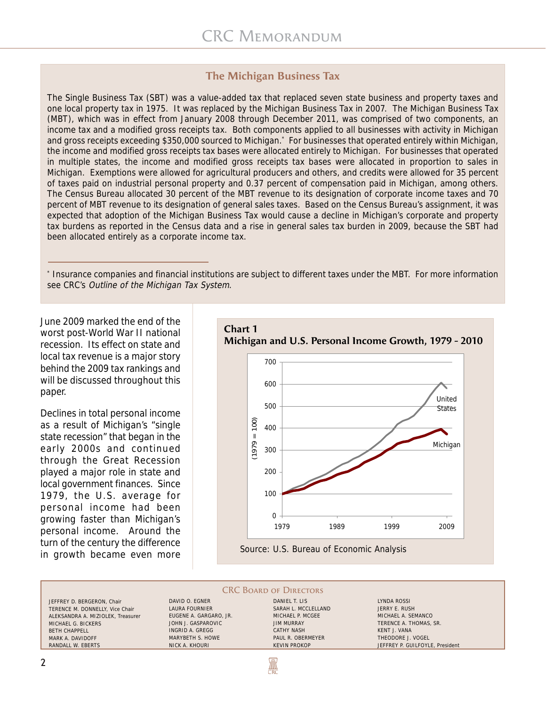## **The Michigan Business Tax**

The Single Business Tax (SBT) was a value-added tax that replaced seven state business and property taxes and one local property tax in 1975. It was replaced by the Michigan Business Tax in 2007. The Michigan Business Tax (MBT), which was in effect from January 2008 through December 2011, was comprised of two components, an income tax and a modified gross receipts tax. Both components applied to all businesses with activity in Michigan and gross receipts exceeding \$350,000 sourced to Michigan.\* For businesses that operated entirely within Michigan, the income and modified gross receipts tax bases were allocated entirely to Michigan. For businesses that operated in multiple states, the income and modified gross receipts tax bases were allocated in proportion to sales in Michigan. Exemptions were allowed for agricultural producers and others, and credits were allowed for 35 percent of taxes paid on industrial personal property and 0.37 percent of compensation paid in Michigan, among others. The Census Bureau allocated 30 percent of the MBT revenue to its designation of corporate income taxes and 70 percent of MBT revenue to its designation of general sales taxes. Based on the Census Bureau's assignment, it was expected that adoption of the Michigan Business Tax would cause a decline in Michigan's corporate and property tax burdens as reported in the Census data and a rise in general sales tax burden in 2009, because the SBT had been allocated entirely as a corporate income tax.

\* Insurance companies and financial institutions are subject to different taxes under the MBT. For more information see CRC's Outline of the Michigan Tax System.

June 2009 marked the end of the worst post-World War II national recession. Its effect on state and local tax revenue is a major story behind the 2009 tax rankings and will be discussed throughout this paper.

Declines in total personal income as a result of Michigan's "single state recession" that began in the early 2000s and continued through the Great Recession played a major role in state and local government finances. Since 1979, the U.S. average for personal income had been growing faster than Michigan's personal income. Around the turn of the century the difference in growth became even more



#### **CRC BOARD OF DIRECTORS**

**AN** 

JEFFREY D. BERGERON, Chair TERENCE M. DONNELLY, Vice Chair ALEKSANDRA A. MIZIOLEK, Treasurer MICHAEL G. BICKERS BETH CHAPPELL MARK A. DAVIDOFF RANDALL W. EBERTS

DAVID O. EGNER LAURA FOURNIER EUGENE A. GARGARO, JR. JOHN J. GASPAROVIC INGRID A. GREGG MARYBETH S. HOWE NICK A. KHOURI

DANIEL T. LIS SARAH L. MCCLELLAND MICHAEL P. MCGEE JIM MURRAY CATHY NASH PAUL R. OBERMEYER KEVIN PROKOP

LYNDA ROSSI JERRY E. RUSH MICHAEL A. SEMANCO TERENCE A. THOMAS, SR. KENT J. VANA THEODORE J. VOGEL JEFFREY P. GUILFOYLE, President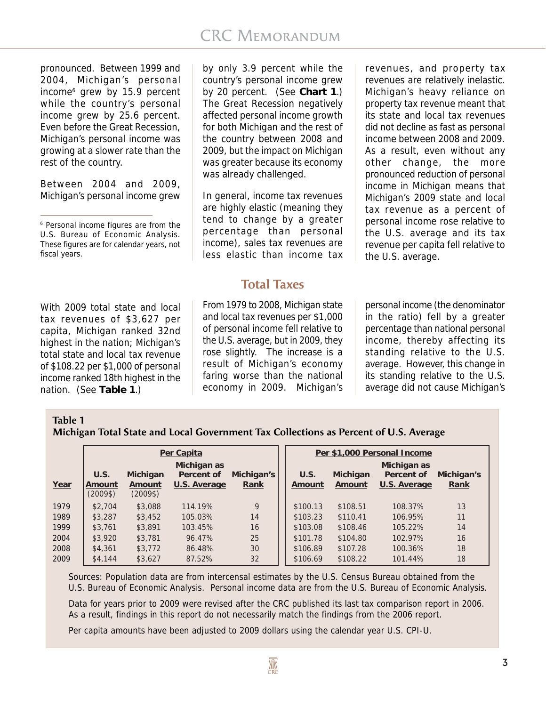pronounced. Between 1999 and 2004, Michigan's personal income6 grew by 15.9 percent while the country's personal income grew by 25.6 percent. Even before the Great Recession, Michigan's personal income was growing at a slower rate than the rest of the country.

Between 2004 and 2009, Michigan's personal income grew

With 2009 total state and local tax revenues of \$3,627 per capita, Michigan ranked 32nd highest in the nation; Michigan's total state and local tax revenue of \$108.22 per \$1,000 of personal income ranked 18th highest in the nation. (See **Table 1**.)

by only 3.9 percent while the country's personal income grew by 20 percent. (See **Chart 1**.) The Great Recession negatively affected personal income growth for both Michigan and the rest of the country between 2008 and 2009, but the impact on Michigan was greater because its economy was already challenged.

In general, income tax revenues are highly elastic (meaning they tend to change by a greater percentage than personal income), sales tax revenues are less elastic than income tax

## **Total Taxes**

From 1979 to 2008, Michigan state and local tax revenues per \$1,000 of personal income fell relative to the U.S. average, but in 2009, they rose slightly. The increase is a result of Michigan's economy faring worse than the national economy in 2009. Michigan's

revenues, and property tax revenues are relatively inelastic. Michigan's heavy reliance on property tax revenue meant that its state and local tax revenues did not decline as fast as personal income between 2008 and 2009. As a result, even without any other change, the more pronounced reduction of personal income in Michigan means that Michigan's 2009 state and local tax revenue as a percent of personal income rose relative to the U.S. average and its tax revenue per capita fell relative to the U.S. average.

personal income (the denominator in the ratio) fell by a greater percentage than national personal income, thereby affecting its standing relative to the U.S. average. However, this change in its standing relative to the U.S. average did not cause Michigan's

## **Table 1**

**Michigan Total State and Local Government Tax Collections as Percent of U.S. Average**

|      |                            |                                | Per Capita                                |                    | Per \$1,000 Personal Income |                    |                                           |                    |  |  |  |  |
|------|----------------------------|--------------------------------|-------------------------------------------|--------------------|-----------------------------|--------------------|-------------------------------------------|--------------------|--|--|--|--|
| Year | U.S.<br>Amount<br>(2009\$) | Michigan<br>Amount<br>$(2009\$ | Michigan as<br>Percent of<br>U.S. Average | Michigan's<br>Rank | U.S.<br>Amount              | Michigan<br>Amount | Michigan as<br>Percent of<br>U.S. Average | Michigan's<br>Rank |  |  |  |  |
| 1979 | \$2,704                    | \$3,088                        | 114.19%                                   | 9                  | \$100.13                    | \$108.51           | 108.37%                                   | 13                 |  |  |  |  |
| 1989 | \$3,287                    | \$3,452                        | 105.03%                                   | 14                 | \$103.23                    | \$110.41           | 106.95%                                   | 11                 |  |  |  |  |
| 1999 | \$3,761                    | \$3,891                        | 103.45%                                   | 16                 | \$103.08                    | \$108.46           | 105.22%                                   | 14                 |  |  |  |  |
| 2004 | \$3,920                    | \$3,781                        | 96.47%                                    | 25                 | \$101.78                    | \$104.80           | 102.97%                                   | 16                 |  |  |  |  |
| 2008 | \$4,361                    | \$3,772                        | 86.48%                                    | 30                 | \$106.89                    | \$107.28           | 100.36%                                   | 18                 |  |  |  |  |
| 2009 | \$4,144                    | \$3,627                        | 87.52%                                    | 32                 | \$106.69                    | \$108.22           | 101.44%                                   | 18                 |  |  |  |  |

Sources: Population data are from intercensal estimates by the U.S. Census Bureau obtained from the U.S. Bureau of Economic Analysis. Personal income data are from the U.S. Bureau of Economic Analysis.

Data for years prior to 2009 were revised after the CRC published its last tax comparison report in 2006. As a result, findings in this report do not necessarily match the findings from the 2006 report.

Per capita amounts have been adjusted to 2009 dollars using the calendar year U.S. CPI-U.

<sup>6</sup> Personal income figures are from the U.S. Bureau of Economic Analysis. These figures are for calendar years, not fiscal years.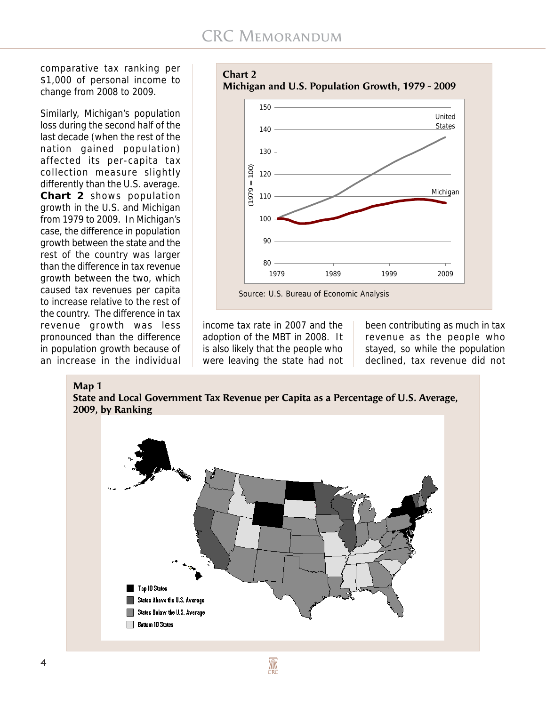comparative tax ranking per \$1,000 of personal income to change from 2008 to 2009.

Similarly, Michigan's population loss during the second half of the last decade (when the rest of the nation gained population) affected its per-capita tax collection measure slightly differently than the U.S. average. **Chart 2** shows population growth in the U.S. and Michigan from 1979 to 2009. In Michigan's case, the difference in population growth between the state and the rest of the country was larger than the difference in tax revenue growth between the two, which caused tax revenues per capita to increase relative to the rest of the country. The difference in tax revenue growth was less pronounced than the difference in population growth because of an increase in the individual

**Chart 2 Michigan and U.S. Population Growth, 1979 - 2009**



income tax rate in 2007 and the adoption of the MBT in 2008. It is also likely that the people who were leaving the state had not

been contributing as much in tax revenue as the people who stayed, so while the population declined, tax revenue did not

#### **Map 1**

**State and Local Government Tax Revenue per Capita as a Percentage of U.S. Average, 2009, by Ranking**

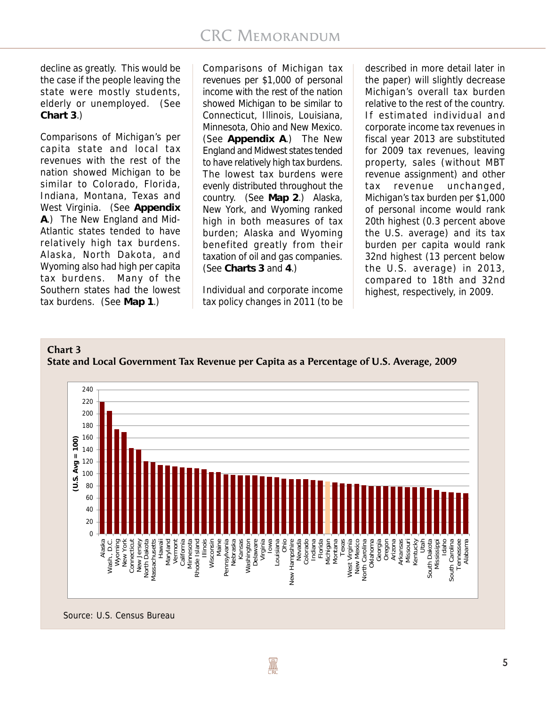decline as greatly. This would be the case if the people leaving the state were mostly students, elderly or unemployed. (See **Chart 3**.)

Comparisons of Michigan's per capita state and local tax revenues with the rest of the nation showed Michigan to be similar to Colorado, Florida, Indiana, Montana, Texas and West Virginia. (See **Appendix A**.) The New England and Mid-Atlantic states tended to have relatively high tax burdens. Alaska, North Dakota, and Wyoming also had high per capita tax burdens. Many of the Southern states had the lowest tax burdens. (See **Map 1**.)

Comparisons of Michigan tax revenues per \$1,000 of personal income with the rest of the nation showed Michigan to be similar to Connecticut, Illinois, Louisiana, Minnesota, Ohio and New Mexico. (See **Appendix A**.) The New England and Midwest states tended to have relatively high tax burdens. The lowest tax burdens were evenly distributed throughout the country. (See **Map 2**.) Alaska, New York, and Wyoming ranked high in both measures of tax burden; Alaska and Wyoming benefited greatly from their taxation of oil and gas companies. (See **Charts 3** and **4**.)

Individual and corporate income tax policy changes in 2011 (to be

described in more detail later in the paper) will slightly decrease Michigan's overall tax burden relative to the rest of the country. If estimated individual and corporate income tax revenues in fiscal year 2013 are substituted for 2009 tax revenues, leaving property, sales (without MBT revenue assignment) and other tax revenue unchanged, Michigan's tax burden per \$1,000 of personal income would rank 20th highest (0.3 percent above the U.S. average) and its tax burden per capita would rank 32nd highest (13 percent below the U.S. average) in 2013, compared to 18th and 32nd highest, respectively, in 2009.

## **Chart 3 State and Local Government Tax Revenue per Capita as a Percentage of U.S. Average, 2009**



Source: U.S. Census Bureau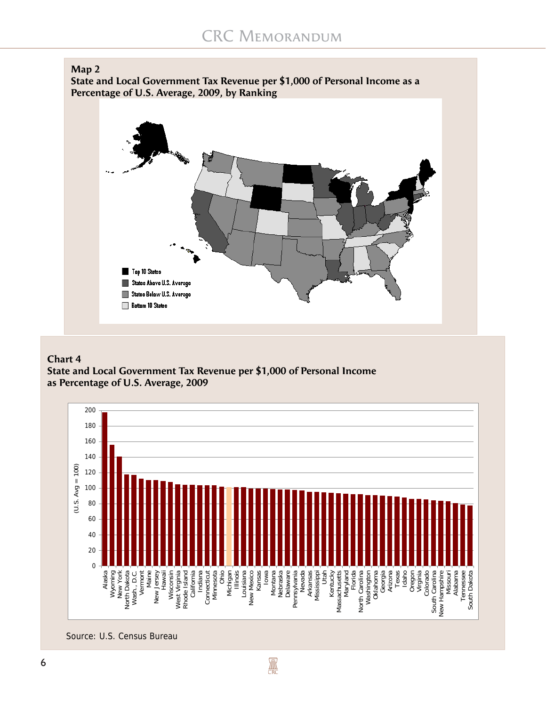

**State and Local Government Tax Revenue per \$1,000 of Personal Income as a Percentage of U.S. Average, 2009, by Ranking**



## **Chart 4**

**State and Local Government Tax Revenue per \$1,000 of Personal Income as Percentage of U.S. Average, 2009**



Source: U.S. Census Bureau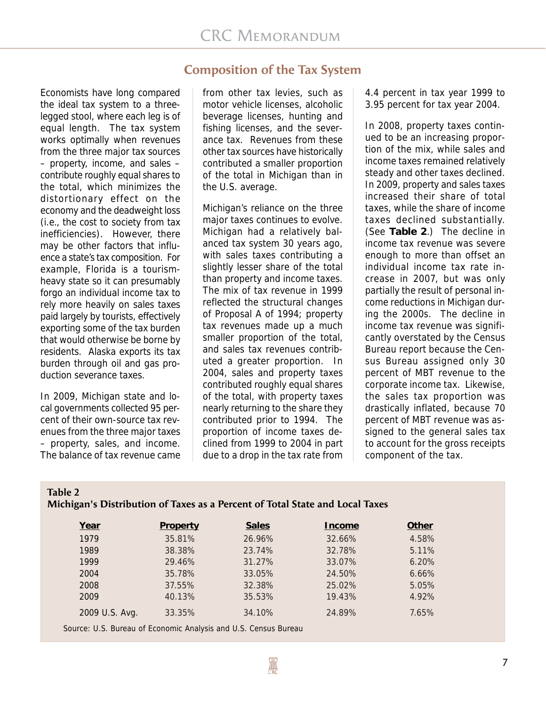## **Composition of the Tax System**

Economists have long compared the ideal tax system to a threelegged stool, where each leg is of equal length. The tax system works optimally when revenues from the three major tax sources – property, income, and sales – contribute roughly equal shares to the total, which minimizes the distortionary effect on the economy and the deadweight loss (i.e., the cost to society from tax inefficiencies). However, there may be other factors that influence a state's tax composition. For example, Florida is a tourismheavy state so it can presumably forgo an individual income tax to rely more heavily on sales taxes paid largely by tourists, effectively exporting some of the tax burden that would otherwise be borne by residents. Alaska exports its tax burden through oil and gas production severance taxes.

In 2009, Michigan state and local governments collected 95 percent of their own-source tax revenues from the three major taxes – property, sales, and income. The balance of tax revenue came from other tax levies, such as motor vehicle licenses, alcoholic beverage licenses, hunting and fishing licenses, and the severance tax. Revenues from these other tax sources have historically contributed a smaller proportion of the total in Michigan than in the U.S. average.

Michigan's reliance on the three major taxes continues to evolve. Michigan had a relatively balanced tax system 30 years ago, with sales taxes contributing a slightly lesser share of the total than property and income taxes. The mix of tax revenue in 1999 reflected the structural changes of Proposal A of 1994; property tax revenues made up a much smaller proportion of the total, and sales tax revenues contributed a greater proportion. In 2004, sales and property taxes contributed roughly equal shares of the total, with property taxes nearly returning to the share they contributed prior to 1994. The proportion of income taxes declined from 1999 to 2004 in part due to a drop in the tax rate from

4.4 percent in tax year 1999 to 3.95 percent for tax year 2004.

In 2008, property taxes continued to be an increasing proportion of the mix, while sales and income taxes remained relatively steady and other taxes declined. In 2009, property and sales taxes increased their share of total taxes, while the share of income taxes declined substantially. (See **Table 2**.) The decline in income tax revenue was severe enough to more than offset an individual income tax rate increase in 2007, but was only partially the result of personal income reductions in Michigan during the 2000s. The decline in income tax revenue was significantly overstated by the Census Bureau report because the Census Bureau assigned only 30 percent of MBT revenue to the corporate income tax. Likewise, the sales tax proportion was drastically inflated, because 70 percent of MBT revenue was assigned to the general sales tax to account for the gross receipts component of the tax.

| Table 2                                                                      |  |
|------------------------------------------------------------------------------|--|
| Michigan's Distribution of Taxes as a Percent of Total State and Local Taxes |  |

| Year                                                            | Property | <b>Sales</b> | Income | Other |
|-----------------------------------------------------------------|----------|--------------|--------|-------|
| 1979                                                            | 35.81%   | 26.96%       | 32.66% | 4.58% |
| 1989                                                            | 38.38%   | 23.74%       | 32.78% | 5.11% |
| 1999                                                            | 29.46%   | 31.27%       | 33.07% | 6.20% |
| 2004                                                            | 35.78%   | 33.05%       | 24.50% | 6.66% |
| 2008                                                            | 37.55%   | 32.38%       | 25.02% | 5.05% |
| 2009                                                            | 40.13%   | 35.53%       | 19.43% | 4.92% |
| 2009 U.S. Avg.                                                  | 33.35%   | 34.10%       | 24.89% | 7.65% |
| Source: U.S. Bureau of Economic Analysis and U.S. Census Bureau |          |              |        |       |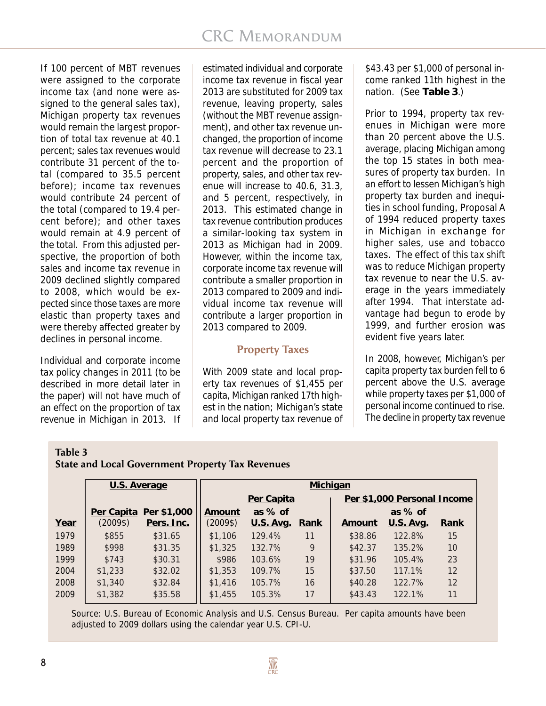If 100 percent of MBT revenues were assigned to the corporate income tax (and none were assigned to the general sales tax), Michigan property tax revenues would remain the largest proportion of total tax revenue at 40.1 percent; sales tax revenues would contribute 31 percent of the total (compared to 35.5 percent before); income tax revenues would contribute 24 percent of the total (compared to 19.4 percent before); and other taxes would remain at 4.9 percent of the total. From this adjusted perspective, the proportion of both sales and income tax revenue in 2009 declined slightly compared to 2008, which would be expected since those taxes are more elastic than property taxes and were thereby affected greater by declines in personal income.

Individual and corporate income tax policy changes in 2011 (to be described in more detail later in the paper) will not have much of an effect on the proportion of tax revenue in Michigan in 2013. If

estimated individual and corporate income tax revenue in fiscal year 2013 are substituted for 2009 tax revenue, leaving property, sales (without the MBT revenue assignment), and other tax revenue unchanged, the proportion of income tax revenue will decrease to 23.1 percent and the proportion of property, sales, and other tax revenue will increase to 40.6, 31.3, and 5 percent, respectively, in 2013. This estimated change in tax revenue contribution produces a similar-looking tax system in 2013 as Michigan had in 2009. However, within the income tax, corporate income tax revenue will contribute a smaller proportion in 2013 compared to 2009 and individual income tax revenue will contribute a larger proportion in 2013 compared to 2009.

## **Property Taxes**

With 2009 state and local property tax revenues of \$1,455 per capita, Michigan ranked 17th highest in the nation; Michigan's state and local property tax revenue of

\$43.43 per \$1,000 of personal income ranked 11th highest in the nation. (See **Table 3**.)

Prior to 1994, property tax revenues in Michigan were more than 20 percent above the U.S. average, placing Michigan among the top 15 states in both measures of property tax burden. In an effort to lessen Michigan's high property tax burden and inequities in school funding, Proposal A of 1994 reduced property taxes in Michigan in exchange for higher sales, use and tobacco taxes. The effect of this tax shift was to reduce Michigan property tax revenue to near the U.S. average in the years immediately after 1994. That interstate advantage had begun to erode by 1999, and further erosion was evident five years later.

In 2008, however, Michigan's per capita property tax burden fell to 6 percent above the U.S. average while property taxes per \$1,000 of personal income continued to rise. The decline in property tax revenue

#### **Table 3 State and Local Government Property Tax Revenues**

|      | U.S. Average |                        | Michigan |                  |      |                             |                  |      |  |  |  |  |
|------|--------------|------------------------|----------|------------------|------|-----------------------------|------------------|------|--|--|--|--|
|      |              |                        |          | Per Capita       |      | Per \$1,000 Personal Income |                  |      |  |  |  |  |
|      |              | Per Capita Per \$1,000 | Amount   | as $%$ of        |      |                             | as $%$ of        |      |  |  |  |  |
| Year | (2009\$)     | Pers. Inc.             | (2009\$) | <u>U.S. Avg.</u> | Rank | Amount                      | <b>U.S. Avg.</b> | Rank |  |  |  |  |
| 1979 | \$855        | \$31.65                | \$1,106  | 129.4%           | 11   | \$38.86                     | 122.8%           | 15   |  |  |  |  |
| 1989 | \$998        | \$31.35                | \$1,325  | 132.7%           | 9    | \$42.37                     | 135.2%           | 10   |  |  |  |  |
| 1999 | \$743        | \$30.31                | \$986    | 103.6%           | 19   | \$31.96                     | 105.4%           | 23   |  |  |  |  |
| 2004 | \$1,233      | \$32.02                | \$1,353  | 109.7%           | 15   | \$37.50                     | 117.1%           | 12   |  |  |  |  |
| 2008 | \$1,340      | \$32.84                | \$1,416  | 105.7%           | 16   | \$40.28                     | 122.7%           | 12   |  |  |  |  |
| 2009 | \$1,382      | \$35.58                | \$1,455  | 105.3%           | 17   | \$43.43                     | 122.1%           | 11   |  |  |  |  |

Source: U.S. Bureau of Economic Analysis and U.S. Census Bureau. Per capita amounts have been adjusted to 2009 dollars using the calendar year U.S. CPI-U.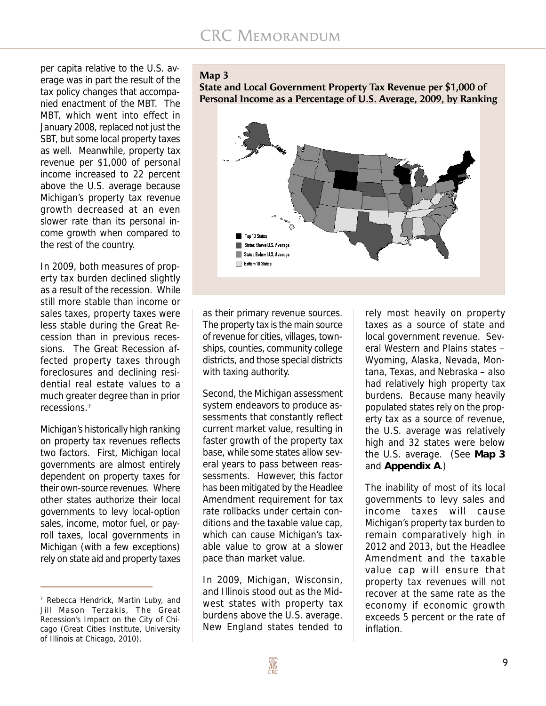per capita relative to the U.S. average was in part the result of the tax policy changes that accompanied enactment of the MBT. The MBT, which went into effect in January 2008, replaced not just the SBT, but some local property taxes as well. Meanwhile, property tax revenue per \$1,000 of personal income increased to 22 percent above the U.S. average because Michigan's property tax revenue growth decreased at an even slower rate than its personal income growth when compared to the rest of the country.

In 2009, both measures of property tax burden declined slightly as a result of the recession. While still more stable than income or sales taxes, property taxes were less stable during the Great Recession than in previous recessions. The Great Recession affected property taxes through foreclosures and declining residential real estate values to a much greater degree than in prior recessions.7

Michigan's historically high ranking on property tax revenues reflects two factors. First, Michigan local governments are almost entirely dependent on property taxes for their own-source revenues. Where other states authorize their local governments to levy local-option sales, income, motor fuel, or payroll taxes, local governments in Michigan (with a few exceptions) rely on state aid and property taxes

#### **Map 3**

**State and Local Government Property Tax Revenue per \$1,000 of Personal Income as a Percentage of U.S. Average, 2009, by Ranking**



as their primary revenue sources. The property tax is the main source of revenue for cities, villages, townships, counties, community college districts, and those special districts with taxing authority.

Second, the Michigan assessment system endeavors to produce assessments that constantly reflect current market value, resulting in faster growth of the property tax base, while some states allow several years to pass between reassessments. However, this factor has been mitigated by the Headlee Amendment requirement for tax rate rollbacks under certain conditions and the taxable value cap, which can cause Michigan's taxable value to grow at a slower pace than market value.

In 2009, Michigan, Wisconsin, and Illinois stood out as the Midwest states with property tax burdens above the U.S. average. New England states tended to

rely most heavily on property taxes as a source of state and local government revenue. Several Western and Plains states – Wyoming, Alaska, Nevada, Montana, Texas, and Nebraska – also had relatively high property tax burdens. Because many heavily populated states rely on the property tax as a source of revenue, the U.S. average was relatively high and 32 states were below the U.S. average. (See **Map 3** and **Appendix A**.)

The inability of most of its local governments to levy sales and income taxes will cause Michigan's property tax burden to remain comparatively high in 2012 and 2013, but the Headlee Amendment and the taxable value cap will ensure that property tax revenues will not recover at the same rate as the economy if economic growth exceeds 5 percent or the rate of inflation.

<sup>&</sup>lt;sup>7</sup> Rebecca Hendrick, Martin Luby, and Jill Mason Terzakis, The Great Recession's Impact on the City of Chicago (Great Cities Institute, University of Illinois at Chicago, 2010).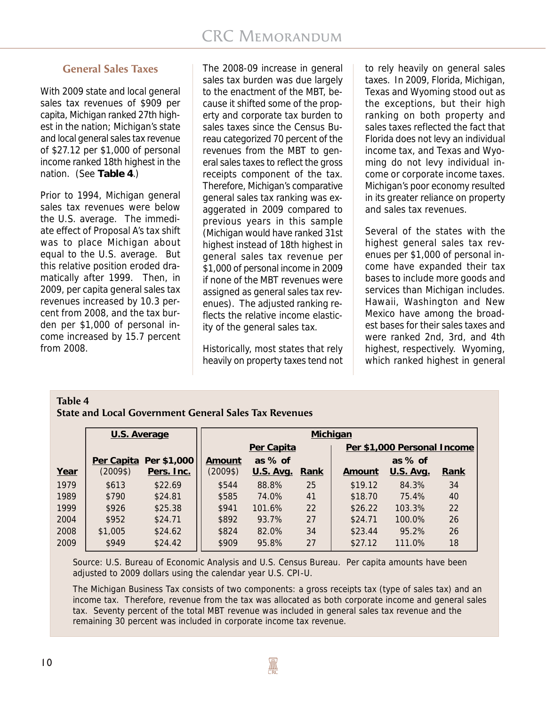## **General Sales Taxes**

With 2009 state and local general sales tax revenues of \$909 per capita, Michigan ranked 27th highest in the nation; Michigan's state and local general sales tax revenue of \$27.12 per \$1,000 of personal income ranked 18th highest in the nation. (See **Table 4**.)

Prior to 1994, Michigan general sales tax revenues were below the U.S. average. The immediate effect of Proposal A's tax shift was to place Michigan about equal to the U.S. average. But this relative position eroded dramatically after 1999. Then, in 2009, per capita general sales tax revenues increased by 10.3 percent from 2008, and the tax burden per \$1,000 of personal income increased by 15.7 percent from 2008.

The 2008-09 increase in general sales tax burden was due largely to the enactment of the MBT, because it shifted some of the property and corporate tax burden to sales taxes since the Census Bureau categorized 70 percent of the revenues from the MBT to general sales taxes to reflect the gross receipts component of the tax. Therefore, Michigan's comparative general sales tax ranking was exaggerated in 2009 compared to previous years in this sample (Michigan would have ranked 31st highest instead of 18th highest in general sales tax revenue per \$1,000 of personal income in 2009 if none of the MBT revenues were assigned as general sales tax revenues). The adjusted ranking reflects the relative income elasticity of the general sales tax.

Historically, most states that rely heavily on property taxes tend not

to rely heavily on general sales taxes. In 2009, Florida, Michigan, Texas and Wyoming stood out as the exceptions, but their high ranking on both property and sales taxes reflected the fact that Florida does not levy an individual income tax, and Texas and Wyoming do not levy individual income or corporate income taxes. Michigan's poor economy resulted in its greater reliance on property and sales tax revenues.

Several of the states with the highest general sales tax revenues per \$1,000 of personal income have expanded their tax bases to include more goods and services than Michigan includes. Hawaii, Washington and New Mexico have among the broadest bases for their sales taxes and were ranked 2nd, 3rd, and 4th highest, respectively. Wyoming, which ranked highest in general

## **Table 4**

**State and Local Government General Sales Tax Revenues**

|      | U.S. Average |             | Michigan |                  |      |                             |                  |      |  |  |  |  |  |
|------|--------------|-------------|----------|------------------|------|-----------------------------|------------------|------|--|--|--|--|--|
|      |              |             |          | Per Capita       |      | Per \$1,000 Personal Income |                  |      |  |  |  |  |  |
|      | Per Capita   | Per \$1,000 | Amount   | as $%$ of        |      |                             | as $%$ of        |      |  |  |  |  |  |
| Year | $(2009\$     | Pers. Inc.  | (2009\$) | <u>U.S. Avg.</u> | Rank | Amount                      | <u>U.S. Avg.</u> | Rank |  |  |  |  |  |
| 1979 | \$613        | \$22.69     | \$544    | 88.8%            | 25   | \$19.12                     | 84.3%            | 34   |  |  |  |  |  |
| 1989 | \$790        | \$24.81     | \$585    | 74.0%            | 41   | \$18.70                     | 75.4%            | 40   |  |  |  |  |  |
| 1999 | \$926        | \$25.38     | \$941    | 101.6%           | 22   | \$26.22                     | 103.3%           | 22   |  |  |  |  |  |
| 2004 | \$952        | \$24.71     | \$892    | 93.7%            | 27   | \$24.71                     | 100.0%           | 26   |  |  |  |  |  |
| 2008 | \$1,005      | \$24.62     | \$824    | 82.0%            | 34   | \$23.44                     | 95.2%            | 26   |  |  |  |  |  |
| 2009 | \$949        | \$24.42     | \$909    | 95.8%            | 27   | \$27.12                     | 111.0%           | 18   |  |  |  |  |  |

Source: U.S. Bureau of Economic Analysis and U.S. Census Bureau. Per capita amounts have been adjusted to 2009 dollars using the calendar year U.S. CPI-U.

The Michigan Business Tax consists of two components: a gross receipts tax (type of sales tax) and an income tax. Therefore, revenue from the tax was allocated as both corporate income and general sales tax. Seventy percent of the total MBT revenue was included in general sales tax revenue and the remaining 30 percent was included in corporate income tax revenue.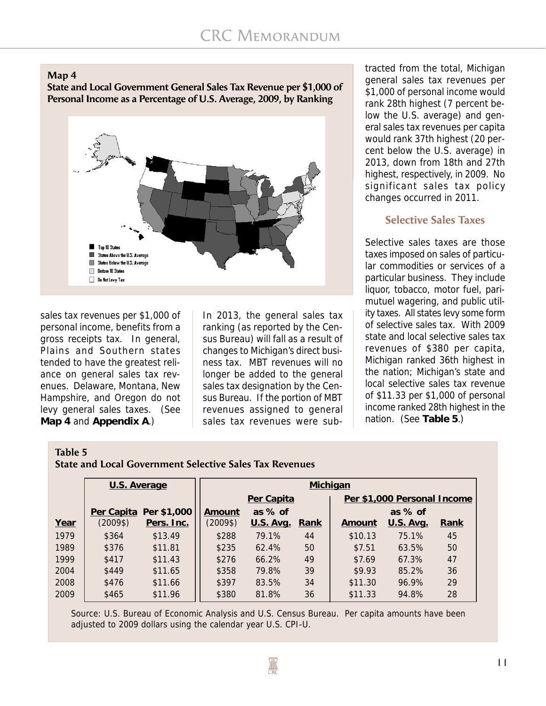

**State and Local Government General Sales Tax Revenue per \$1,000 of Personal Income as a Percentage of U.S. Average, 2009, by Ranking**



sales tax revenues per \$1,000 of personal income, benefits from a gross receipts tax. In general, Plains and Southern states tended to have the greatest reliance on general sales tax revenues. Delaware, Montana, New Hampshire, and Oregon do not levy general sales taxes. (See **Map 4** and **Appendix A**.)

In 2013, the general sales tax ranking (as reported by the Census Bureau) will fall as a result of changes to Michigan's direct business tax. MBT revenues will no longer be added to the general sales tax designation by the Census Bureau. If the portion of MBT revenues assigned to general sales tax revenues were sub-

tracted from the total, Michigan general sales tax revenues per \$1,000 of personal income would rank 28th highest (7 percent below the U.S. average) and general sales tax revenues per capita would rank 37th highest (20 percent below the U.S. average) in 2013, down from 18th and 27th highest, respectively, in 2009. No significant sales tax policy changes occurred in 2011.

## **Selective Sales Taxes**

Selective sales taxes are those taxes imposed on sales of particular commodities or services of a particular business. They include liquor, tobacco, motor fuel, parimutuel wagering, and public utility taxes. All states levy some form of selective sales tax. With 2009 state and local selective sales tax revenues of \$380 per capita, Michigan ranked 36th highest in the nation; Michigan's state and local selective sales tax revenue of \$11.33 per \$1,000 of personal income ranked 28th highest in the nation. (See **Table 5**.)

#### **Table 5**

**State and Local Government Selective Sales Tax Revenues**

|      | U.S. Average |             | <b>Michigan</b> |                  |      |                             |                  |             |  |  |  |  |
|------|--------------|-------------|-----------------|------------------|------|-----------------------------|------------------|-------------|--|--|--|--|
|      |              |             |                 | Per Capita       |      | Per \$1,000 Personal Income |                  |             |  |  |  |  |
|      | Per Capita   | Per \$1,000 | Amount          | as $%$ of        |      |                             | as $%$ of        |             |  |  |  |  |
| Year | $(2009\$     | Pers. Inc.  | $(2009\$        | <u>U.S. Avg.</u> | Rank | Amount                      | <b>U.S. Avg.</b> | <u>Rank</u> |  |  |  |  |
| 1979 | \$364        | \$13.49     | \$288           | 79.1%            | 44   | \$10.13                     | 75.1%            | 45          |  |  |  |  |
| 1989 | \$376        | \$11.81     | \$235           | 62.4%            | 50   | \$7.51                      | 63.5%            | 50          |  |  |  |  |
| 1999 | \$417        | \$11.43     | \$276           | 66.2%            | 49   | \$7.69                      | 67.3%            | 47          |  |  |  |  |
| 2004 | \$449        | \$11.65     | \$358           | 79.8%            | 39   | \$9.93                      | 85.2%            | 36          |  |  |  |  |
| 2008 | \$476        | \$11.66     | \$397           | 83.5%            | 34   | \$11.30                     | 96.9%            | 29          |  |  |  |  |
| 2009 | \$465        | \$11.96     | \$380           | 81.8%            | 36   | \$11.33                     | 94.8%            | 28          |  |  |  |  |

Source: U.S. Bureau of Economic Analysis and U.S. Census Bureau. Per capita amounts have been adjusted to 2009 dollars using the calendar year U.S. CPI-U.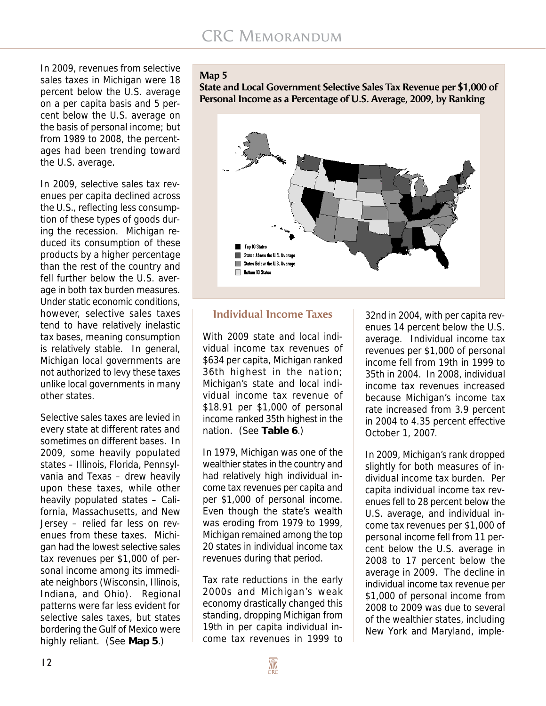In 2009, revenues from selective sales taxes in Michigan were 18 percent below the U.S. average on a per capita basis and 5 percent below the U.S. average on the basis of personal income; but from 1989 to 2008, the percentages had been trending toward the U.S. average.

In 2009, selective sales tax revenues per capita declined across the U.S., reflecting less consumption of these types of goods during the recession. Michigan reduced its consumption of these products by a higher percentage than the rest of the country and fell further below the U.S. average in both tax burden measures. Under static economic conditions, however, selective sales taxes tend to have relatively inelastic tax bases, meaning consumption is relatively stable. In general, Michigan local governments are not authorized to levy these taxes unlike local governments in many other states.

Selective sales taxes are levied in every state at different rates and sometimes on different bases. In 2009, some heavily populated states – Illinois, Florida, Pennsylvania and Texas – drew heavily upon these taxes, while other heavily populated states – California, Massachusetts, and New Jersey – relied far less on revenues from these taxes. Michigan had the lowest selective sales tax revenues per \$1,000 of personal income among its immediate neighbors (Wisconsin, Illinois, Indiana, and Ohio). Regional patterns were far less evident for selective sales taxes, but states bordering the Gulf of Mexico were highly reliant. (See **Map 5**.)

#### **Map 5**

**State and Local Government Selective Sales Tax Revenue per \$1,000 of Personal Income as a Percentage of U.S. Average, 2009, by Ranking**



## **Individual Income Taxes**

With 2009 state and local individual income tax revenues of \$634 per capita, Michigan ranked 36th highest in the nation; Michigan's state and local individual income tax revenue of \$18.91 per \$1,000 of personal income ranked 35th highest in the nation. (See **Table 6**.)

In 1979, Michigan was one of the wealthier states in the country and had relatively high individual income tax revenues per capita and per \$1,000 of personal income. Even though the state's wealth was eroding from 1979 to 1999, Michigan remained among the top 20 states in individual income tax revenues during that period.

Tax rate reductions in the early 2000s and Michigan's weak economy drastically changed this standing, dropping Michigan from 19th in per capita individual income tax revenues in 1999 to

32nd in 2004, with per capita revenues 14 percent below the U.S. average. Individual income tax revenues per \$1,000 of personal income fell from 19th in 1999 to 35th in 2004. In 2008, individual income tax revenues increased because Michigan's income tax rate increased from 3.9 percent in 2004 to 4.35 percent effective October 1, 2007.

In 2009, Michigan's rank dropped slightly for both measures of individual income tax burden. Per capita individual income tax revenues fell to 28 percent below the U.S. average, and individual income tax revenues per \$1,000 of personal income fell from 11 percent below the U.S. average in 2008 to 17 percent below the average in 2009. The decline in individual income tax revenue per \$1,000 of personal income from 2008 to 2009 was due to several of the wealthier states, including New York and Maryland, imple-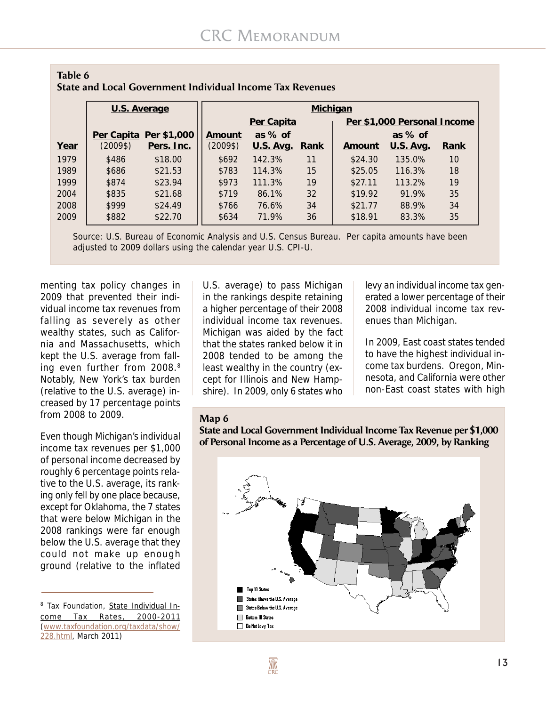| Table 6 |                                                                  |  |
|---------|------------------------------------------------------------------|--|
|         | <b>State and Local Government Individual Income Tax Revenues</b> |  |

|      | U.S. Average |                        |          | Michigan       |    |                             |                  |      |  |  |  |  |  |  |
|------|--------------|------------------------|----------|----------------|----|-----------------------------|------------------|------|--|--|--|--|--|--|
|      |              |                        |          | Per Capita     |    | Per \$1,000 Personal Income |                  |      |  |  |  |  |  |  |
|      |              | Per Capita Per \$1,000 | Amount   | as $%$ of      |    | as $%$ of                   |                  |      |  |  |  |  |  |  |
| Year | (2009\$)     | Pers. Inc.             | $(2009\$ | U.S. Avg. Rank |    | <u>Amount</u>               | <u>U.S. Avg.</u> | Rank |  |  |  |  |  |  |
| 1979 | \$486        | \$18.00                | \$692    | 142.3%         | 11 | \$24.30                     | 135.0%           | 10   |  |  |  |  |  |  |
| 1989 | \$686        | \$21.53                | \$783    | 114.3%         | 15 | \$25.05                     | 116.3%           | 18   |  |  |  |  |  |  |
| 1999 | \$874        | \$23.94                | \$973    | 111.3%         | 19 | \$27.11                     | 113.2%           | 19   |  |  |  |  |  |  |
| 2004 | \$835        | \$21.68                | \$719    | 86.1%          | 32 | \$19.92                     | 91.9%            | 35   |  |  |  |  |  |  |
| 2008 | \$999        | \$24.49                | \$766    | 76.6%          | 34 | \$21.77                     | 88.9%            | 34   |  |  |  |  |  |  |
| 2009 | \$882        | \$22.70                | \$634    | 71.9%          | 36 | \$18.91                     | 83.3%            | 35   |  |  |  |  |  |  |

Source: U.S. Bureau of Economic Analysis and U.S. Census Bureau. Per capita amounts have been adjusted to 2009 dollars using the calendar year U.S. CPI-U.

menting tax policy changes in 2009 that prevented their individual income tax revenues from falling as severely as other wealthy states, such as California and Massachusetts, which kept the U.S. average from falling even further from 2008.8 Notably, New York's tax burden (relative to the U.S. average) increased by 17 percentage points from 2008 to 2009.

Even though Michigan's individual income tax revenues per \$1,000 of personal income decreased by roughly 6 percentage points relative to the U.S. average, its ranking only fell by one place because, except for Oklahoma, the 7 states that were below Michigan in the 2008 rankings were far enough below the U.S. average that they could not make up enough ground (relative to the inflated

U.S. average) to pass Michigan in the rankings despite retaining a higher percentage of their 2008 individual income tax revenues. Michigan was aided by the fact that the states ranked below it in 2008 tended to be among the least wealthy in the country (except for Illinois and New Hampshire). In 2009, only 6 states who

levy an individual income tax generated a lower percentage of their 2008 individual income tax revenues than Michigan.

In 2009, East coast states tended to have the highest individual income tax burdens. Oregon, Minnesota, and California were other non-East coast states with high

#### **Map 6**

**State and Local Government Individual Income Tax Revenue per \$1,000 of Personal Income as a Percentage of U.S. Average, 2009, by Ranking**



<sup>&</sup>lt;sup>8</sup> Tax Foundation, State Individual Income Tax Rates, 2000-2011 (www.taxfoundation.org/taxdata/show/ 228.html, March 2011)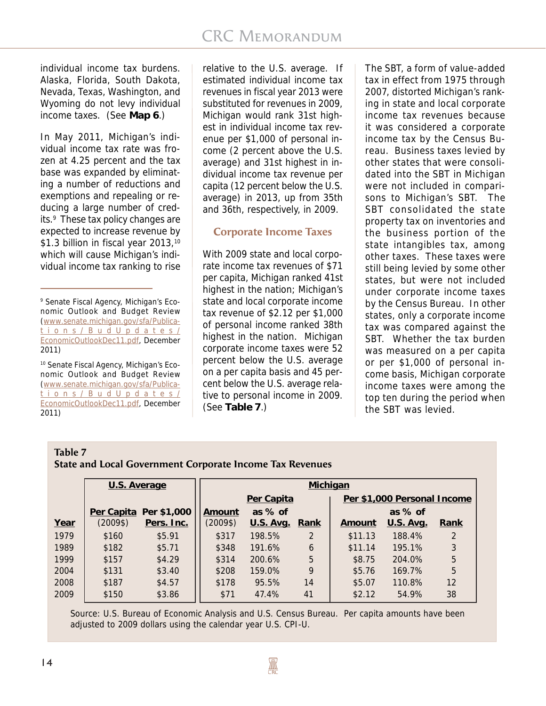individual income tax burdens. Alaska, Florida, South Dakota, Nevada, Texas, Washington, and Wyoming do not levy individual income taxes. (See **Map 6**.)

In May 2011, Michigan's individual income tax rate was frozen at 4.25 percent and the tax base was expanded by eliminating a number of reductions and exemptions and repealing or reducing a large number of credits.<sup>9</sup> These tax policy changes are expected to increase revenue by \$1.3 billion in fiscal year 2013,<sup>10</sup> which will cause Michigan's individual income tax ranking to rise

9 Senate Fiscal Agency, Michigan's Economic Outlook and Budget Review (www.senate.michigan.gov/sfa/Publications/B udUpdates/ EconomicOutlookDec11.pdf, December 2011)

10 Senate Fiscal Agency, Michigan's Economic Outlook and Budget Review (www.senate.michigan.gov/sfa/Publications/B udUpdates/ EconomicOutlookDec11.pdf, December 2011)

relative to the U.S. average. If estimated individual income tax revenues in fiscal year 2013 were substituted for revenues in 2009, Michigan would rank 31st highest in individual income tax revenue per \$1,000 of personal income (2 percent above the U.S. average) and 31st highest in individual income tax revenue per capita (12 percent below the U.S. average) in 2013, up from 35th and 36th, respectively, in 2009.

## **Corporate Income Taxes**

With 2009 state and local corporate income tax revenues of \$71 per capita, Michigan ranked 41st highest in the nation; Michigan's state and local corporate income tax revenue of \$2.12 per \$1,000 of personal income ranked 38th highest in the nation. Michigan corporate income taxes were 52 percent below the U.S. average on a per capita basis and 45 percent below the U.S. average relative to personal income in 2009. (See **Table 7**.)

The SBT, a form of value-added tax in effect from 1975 through 2007, distorted Michigan's ranking in state and local corporate income tax revenues because it was considered a corporate income tax by the Census Bureau. Business taxes levied by other states that were consolidated into the SBT in Michigan were not included in comparisons to Michigan's SBT. The SBT consolidated the state property tax on inventories and the business portion of the state intangibles tax, among other taxes. These taxes were still being levied by some other states, but were not included under corporate income taxes by the Census Bureau. In other states, only a corporate income tax was compared against the SBT. Whether the tax burden was measured on a per capita or per \$1,000 of personal income basis, Michigan corporate income taxes were among the top ten during the period when the SBT was levied.

## **Table 7 State and Local Government Corporate Income Tax Revenues**

|      | U.S. Average |             |          | Michigan       |               |                             |                  |      |  |  |  |  |  |
|------|--------------|-------------|----------|----------------|---------------|-----------------------------|------------------|------|--|--|--|--|--|
|      |              |             |          | Per Capita     |               | Per \$1,000 Personal Income |                  |      |  |  |  |  |  |
|      | Per Capita   | Per \$1,000 | Amount   | as $%$ of      |               |                             | as $%$ of        |      |  |  |  |  |  |
| Year | $(2009\$     | Pers. Inc.  | $(2009\$ | U.S. Avg. Rank |               | Amount                      | <b>U.S. Avg.</b> | Rank |  |  |  |  |  |
| 1979 | \$160        | \$5.91      | \$317    | 198.5%         | $\mathcal{P}$ | \$11.13                     | 188.4%           | 2    |  |  |  |  |  |
| 1989 | \$182        | \$5.71      | \$348    | 191.6%         | 6             | \$11.14                     | 195.1%           | 3    |  |  |  |  |  |
| 1999 | \$157        | \$4.29      | \$314    | 200.6%         | 5             | \$8.75                      | 204.0%           | 5    |  |  |  |  |  |
| 2004 | \$131        | \$3.40      | \$208    | 159.0%         | 9             | \$5.76                      | 169.7%           | 5    |  |  |  |  |  |
| 2008 | \$187        | \$4.57      | \$178    | 95.5%          | 14            | \$5.07                      | 110.8%           | 12   |  |  |  |  |  |
| 2009 | \$150        | \$3.86      | \$71     | 47.4%          | 41            | \$2.12                      | 54.9%            | 38   |  |  |  |  |  |

Source: U.S. Bureau of Economic Analysis and U.S. Census Bureau. Per capita amounts have been adjusted to 2009 dollars using the calendar year U.S. CPI-U.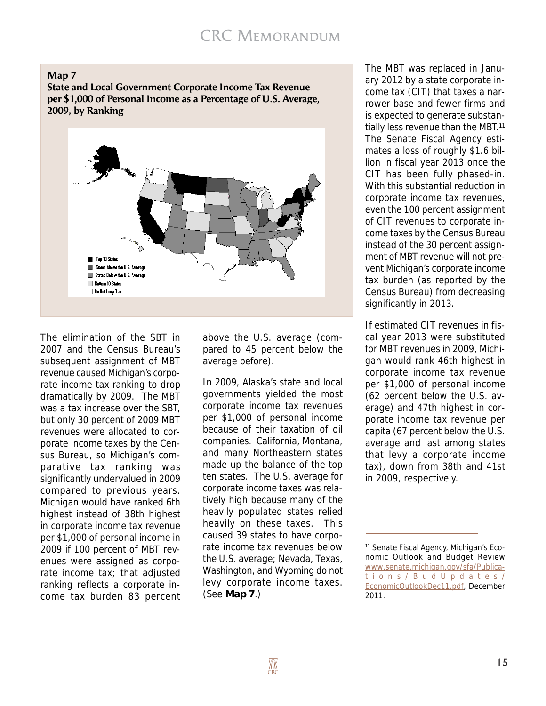**Map 7**

**State and Local Government Corporate Income Tax Revenue per \$1,000 of Personal Income as a Percentage of U.S. Average, 2009, by Ranking**



The elimination of the SBT in 2007 and the Census Bureau's subsequent assignment of MBT revenue caused Michigan's corporate income tax ranking to drop dramatically by 2009. The MBT was a tax increase over the SBT, but only 30 percent of 2009 MBT revenues were allocated to corporate income taxes by the Census Bureau, so Michigan's comparative tax ranking was significantly undervalued in 2009 compared to previous years. Michigan would have ranked 6th highest instead of 38th highest in corporate income tax revenue per \$1,000 of personal income in 2009 if 100 percent of MBT revenues were assigned as corporate income tax; that adjusted ranking reflects a corporate income tax burden 83 percent above the U.S. average (compared to 45 percent below the average before).

In 2009, Alaska's state and local governments yielded the most corporate income tax revenues per \$1,000 of personal income because of their taxation of oil companies. California, Montana, and many Northeastern states made up the balance of the top ten states. The U.S. average for corporate income taxes was relatively high because many of the heavily populated states relied heavily on these taxes. This caused 39 states to have corporate income tax revenues below the U.S. average; Nevada, Texas, Washington, and Wyoming do not levy corporate income taxes. (See **Map 7**.)

The MBT was replaced in January 2012 by a state corporate income tax (CIT) that taxes a narrower base and fewer firms and is expected to generate substantially less revenue than the MBT.<sup>11</sup> The Senate Fiscal Agency estimates a loss of roughly \$1.6 billion in fiscal year 2013 once the CIT has been fully phased-in. With this substantial reduction in corporate income tax revenues, even the 100 percent assignment of CIT revenues to corporate income taxes by the Census Bureau instead of the 30 percent assignment of MBT revenue will not prevent Michigan's corporate income tax burden (as reported by the Census Bureau) from decreasing significantly in 2013.

If estimated CIT revenues in fiscal year 2013 were substituted for MBT revenues in 2009, Michigan would rank 46th highest in corporate income tax revenue per \$1,000 of personal income (62 percent below the U.S. average) and 47th highest in corporate income tax revenue per capita (67 percent below the U.S. average and last among states that levy a corporate income tax), down from 38th and 41st in 2009, respectively.

<sup>11</sup> Senate Fiscal Agency, Michigan's Economic Outlook and Budget Review www.senate.michigan.gov/sfa/Publications/B udUpdates/ EconomicOutlookDec11.pdf, December 2011.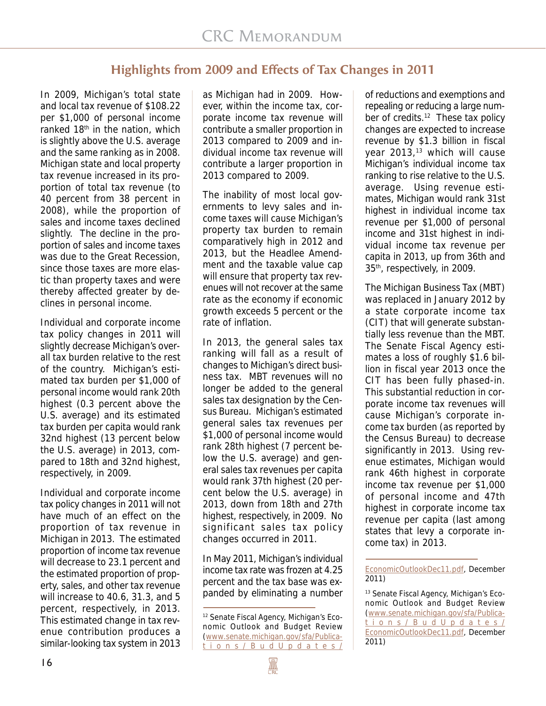# **Highlights from 2009 and Effects of Tax Changes in 2011**

In 2009, Michigan's total state and local tax revenue of \$108.22 per \$1,000 of personal income ranked  $18<sup>th</sup>$  in the nation, which is slightly above the U.S. average and the same ranking as in 2008. Michigan state and local property tax revenue increased in its proportion of total tax revenue (to 40 percent from 38 percent in 2008), while the proportion of sales and income taxes declined slightly. The decline in the proportion of sales and income taxes was due to the Great Recession, since those taxes are more elastic than property taxes and were thereby affected greater by declines in personal income.

Individual and corporate income tax policy changes in 2011 will slightly decrease Michigan's overall tax burden relative to the rest of the country. Michigan's estimated tax burden per \$1,000 of personal income would rank 20th highest (0.3 percent above the U.S. average) and its estimated tax burden per capita would rank 32nd highest (13 percent below the U.S. average) in 2013, compared to 18th and 32nd highest, respectively, in 2009.

Individual and corporate income tax policy changes in 2011 will not have much of an effect on the proportion of tax revenue in Michigan in 2013. The estimated proportion of income tax revenue will decrease to 23.1 percent and the estimated proportion of property, sales, and other tax revenue will increase to 40.6, 31.3, and 5 percent, respectively, in 2013. This estimated change in tax revenue contribution produces a similar-looking tax system in 2013

as Michigan had in 2009. However, within the income tax, corporate income tax revenue will contribute a smaller proportion in 2013 compared to 2009 and individual income tax revenue will contribute a larger proportion in 2013 compared to 2009.

The inability of most local governments to levy sales and income taxes will cause Michigan's property tax burden to remain comparatively high in 2012 and 2013, but the Headlee Amendment and the taxable value cap will ensure that property tax revenues will not recover at the same rate as the economy if economic growth exceeds 5 percent or the rate of inflation.

In 2013, the general sales tax ranking will fall as a result of changes to Michigan's direct business tax. MBT revenues will no longer be added to the general sales tax designation by the Census Bureau. Michigan's estimated general sales tax revenues per \$1,000 of personal income would rank 28th highest (7 percent below the U.S. average) and general sales tax revenues per capita would rank 37th highest (20 percent below the U.S. average) in 2013, down from 18th and 27th highest, respectively, in 2009. No significant sales tax policy changes occurred in 2011.

In May 2011, Michigan's individual income tax rate was frozen at 4.25 percent and the tax base was expanded by eliminating a number

of reductions and exemptions and repealing or reducing a large number of credits.<sup>12</sup> These tax policy changes are expected to increase revenue by \$1.3 billion in fiscal year  $2013<sub>13</sub>$  which will cause Michigan's individual income tax ranking to rise relative to the U.S. average. Using revenue estimates, Michigan would rank 31st highest in individual income tax revenue per \$1,000 of personal income and 31st highest in individual income tax revenue per capita in 2013, up from 36th and 35<sup>th</sup>, respectively, in 2009.

The Michigan Business Tax (MBT) was replaced in January 2012 by a state corporate income tax (CIT) that will generate substantially less revenue than the MBT. The Senate Fiscal Agency estimates a loss of roughly \$1.6 billion in fiscal year 2013 once the CIT has been fully phased-in. This substantial reduction in corporate income tax revenues will cause Michigan's corporate income tax burden (as reported by the Census Bureau) to decrease significantly in 2013. Using revenue estimates, Michigan would rank 46th highest in corporate income tax revenue per \$1,000 of personal income and 47th highest in corporate income tax revenue per capita (last among states that levy a corporate income tax) in 2013.

<sup>12</sup> Senate Fiscal Agency, Michigan's Economic Outlook and Budget Review (www.senate.michigan.gov/sfa/Publications/B udUpdates/

EconomicOutlookDec11.pdf, December 2011)

<sup>13</sup> Senate Fiscal Agency, Michigan's Economic Outlook and Budget Review (www.senate.michigan.gov/sfa/Publications/B udUpdates/ EconomicOutlookDec11.pdf, December 2011)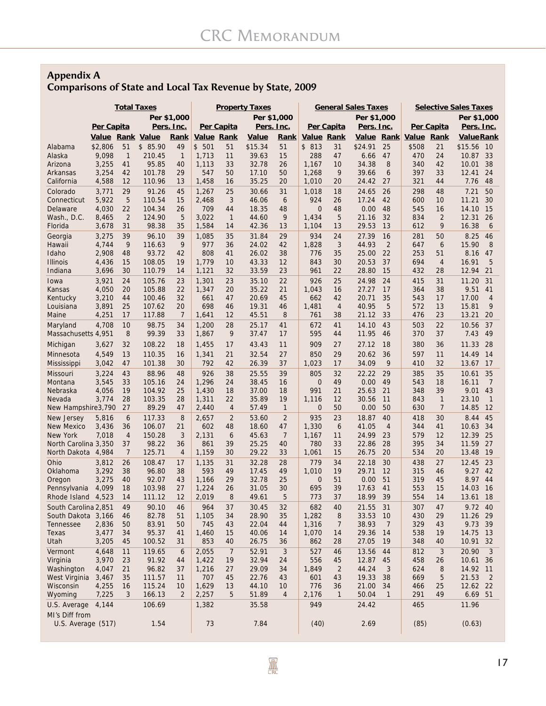## **Appendix A Comparisons of State and Local Tax Revenue by State, 2009**

|                                            |                  | <b>Total Taxes</b> |                  |                      |                   |                | <b>Property Taxes</b> |                | <b>General Sales Taxes</b> |                |                |                | <b>Selective Sales Taxes</b> |                |                   |                      |
|--------------------------------------------|------------------|--------------------|------------------|----------------------|-------------------|----------------|-----------------------|----------------|----------------------------|----------------|----------------|----------------|------------------------------|----------------|-------------------|----------------------|
|                                            |                  |                    |                  | Per \$1,000          |                   |                | Per \$1,000           |                |                            |                | Per \$1,000    |                | Per \$1,000                  |                |                   |                      |
|                                            | Per Capita       |                    |                  | Pers. Inc.           |                   | Per Capita     | Pers. Inc.            |                |                            | Per Capita     | Pers. Inc.     |                |                              | Per Capita     | <u>Pers. Inc.</u> |                      |
|                                            | Value Rank Value |                    |                  | Rank                 | <b>Value Rank</b> |                | Value                 | Rank           | Value Rank                 |                |                |                | Value Rank Value Rank        |                | <b>Value Rank</b> |                      |
| Alabama                                    | \$2,806          | 51                 | \$85.90          | 49                   | \$501             | 51             | \$15.34               | 51             | \$813                      | 31             | \$24.91        | 25             | \$508                        | 21             | \$15.56           | 10                   |
| Alaska<br>Arizona                          | 9,098<br>3,255   | $\mathbf{1}$<br>41 | 210.45<br>95.85  | $\overline{1}$<br>40 | 1,713<br>1,113    | 11<br>33       | 39.63<br>32.78        | 15<br>26       | 288<br>1,167               | 47<br>10       | 6.66<br>34.38  | 47<br>8        | 470<br>340                   | 24<br>42       | 10.87<br>10.01    | 33<br>38             |
| Arkansas                                   | 3,254            | 42                 | 101.78           | 29                   | 547               | 50             | 17.10                 | 50             | 1,268                      | 9              | 39.66          | 6              | 397                          | 33             | 12.41             | 24                   |
| California                                 | 4,588            | 12                 | 110.96           | 13                   | 1,458             | 16             | 35.25                 | 20             | 1,010                      | 20             | 24.42          | 27             | 321                          | 44             | 7.76              | 48                   |
| Colorado                                   | 3,771            | 29                 | 91.26            | 45                   | 1,267             | 25             | 30.66                 | 31             | 1,018                      | 18             | 24.65          | 26             | 298                          | 48             | 7.21              | 50                   |
| Connecticut                                | 5,922            | 5                  | 110.54           | 15                   | 2,468             | 3              | 46.06                 | 6              | 924                        | 26             | 17.24          | 42             | 600                          | 10             | 11.21             | 30                   |
| Delaware                                   | 4,030            | 22                 | 104.34           | 26                   | 709               | 44             | 18.35                 | 48             | 0                          | 48             | 0.00           | 48             | 545                          | 16             | 14.10             | 15                   |
| Wash., D.C.                                | 8,465            | $\overline{2}$     | 124.90           | 5                    | 3,022             | $\overline{1}$ | 44.60                 | 9              | 1,434                      | 5              | 21.16          | 32             | 834                          | $\overline{2}$ | 12.31             | 26                   |
| Florida                                    | 3,678            | 31                 | 98.38            | 35                   | 1,584             | 14             | 42.36                 | 13             | 1,104                      | 13             | 29.53          | 13             | 612                          | 9              | 16.38             | 6                    |
| Georgia                                    | 3,275            | 39                 | 96.10            | 39                   | 1,085             | 35             | 31.84                 | 29             | 934                        | 24             | 27.39          | 16             | 281                          | 50             | 8.25              | 46                   |
| Hawaii<br>Idaho                            | 4,744<br>2,908   | 9<br>48            | 116.63<br>93.72  | 9<br>42              | 977<br>808        | 36<br>41       | 24.02<br>26.02        | 42<br>38       | 1,828<br>776               | 3<br>35        | 44.93<br>25.00 | 2<br>22        | 647<br>253                   | 6<br>51        | 15.90<br>8.16     | 8<br>47              |
| <b>Illinois</b>                            | 4,436            | 15                 | 108.05           | 19                   | 1,779             | 10             | 43.33                 | 12             | 843                        | 30             | 20.53          | 37             | 694                          | $\overline{4}$ | 16.91             | 5                    |
| Indiana                                    | 3,696            | 30                 | 110.79           | 14                   | 1,121             | 32             | 33.59                 | 23             | 961                        | 22             | 28.80          | 15             | 432                          | 28             | 12.94             | 21                   |
| Iowa                                       | 3,921            | 24                 | 105.76           | 23                   | 1,301             | 23             | 35.10                 | 22             | 926                        | 25             | 24.98          | 24             | 415                          | 31             | 11.20             | 31                   |
| Kansas                                     | 4,050            | 20                 | 105.88           | 22                   | 1,347             | 20             | 35.22                 | 21             | 1,043                      | 16             | 27.27          | 17             | 364                          | 38             | 9.51              | 41                   |
| Kentucky                                   | 3,210            | 44                 | 100.46           | 32                   | 661               | 47             | 20.69                 | 45             | 662                        | 42             | 20.71          | 35             | 543                          | 17             | 17.00             | $\overline{4}$       |
| Louisiana                                  | 3,891            | 25                 | 107.62           | 20                   | 698               | 46             | 19.31                 | 46             | 1,481                      | $\overline{4}$ | 40.95          | 5              | 572                          | 13             | 15.81             | 9                    |
| Maine                                      | 4,251            | 17                 | 117.88           | 7                    | 1,641             | 12             | 45.51                 | 8              | 761                        | 38             | 21.12          | 33             | 476                          | 23             | 13.21             | 20                   |
| Maryland                                   | 4.708            | 10                 | 98.75            | 34                   | 1,200             | 28             | 25.17                 | 41             | 672                        | 41             | 14.10          | 43             | 503                          | 22             | 10.56             | 37                   |
| Massachusetts 4,951                        |                  | 8                  | 99.39            | 33                   | 1,867             | 9              | 37.47                 | 17             | 595                        | 44             | 11.95          | 46             | 370                          | 37             | 7.43              | 49                   |
| Michigan                                   | 3,627            | 32                 | 108.22           | 18                   | 1,455             | 17             | 43.43                 | 11             | 909                        | 27             | 27.12          | 18             | 380                          | 36             | 11.33             | 28                   |
| Minnesota                                  | 4,549            | 13                 | 110.35           | 16                   | 1,341             | 21             | 32.54                 | 27             | 850                        | 29             | 20.62          | 36             | 597                          | 11             | 14.49             | 14                   |
| Mississippi                                | 3,042            | 47                 | 101.38           | 30                   | 792               | 42             | 26.39                 | 37             | 1,023                      | 17             | 34.09          | 9              | 410                          | 32             | 13.67             | 17                   |
| <b>Missouri</b>                            | 3,224            | 43                 | 88.96            | 48                   | 926               | 38             | 25.55                 | 39             | 805                        | 32             | 22.22          | 29             | 385                          | 35             | 10.61             | 35                   |
| Montana                                    | 3,545            | 33                 | 105.16           | 24                   | 1,296             | 24             | 38.45                 | 16             | $\mathbf 0$<br>991         | 49             | 0.00           | 49<br>21       | 543<br>348                   | 18<br>39       | 16.11             | $\overline{7}$<br>43 |
| Nebraska<br>Nevada                         | 4,056<br>3,774   | 19<br>28           | 104.92<br>103.35 | 25<br>28             | 1,430<br>1,311    | 18<br>22       | 37.00<br>35.89        | 18<br>19       | 1,116                      | 21<br>12       | 25.63<br>30.56 | 11             | 843                          | $\mathbf{1}$   | 9.01<br>23.10     | $\overline{1}$       |
| New Hampshire3,790                         |                  | 27                 | 89.29            | 47                   | 2,440             | 4              | 57.49                 | $\mathbf{1}$   | 0                          | 50             | 0.00           | 50             | 630                          | $\overline{7}$ | 14.85             | 12                   |
| New Jersey                                 | 5,816            | 6                  | 117.33           | 8                    | 2,657             | $\overline{2}$ | 53.60                 | $\overline{2}$ | 935                        | 23             | 18.87          | 40             | 418                          | 30             | 8.44              | 45                   |
| <b>New Mexico</b>                          | 3,436            | 36                 | 106.07           | 21                   | 602               | 48             | 18.60                 | 47             | 1,330                      | 6              | 41.05          | $\overline{4}$ | 344                          | 41             | 10.63             | 34                   |
| <b>New York</b>                            | 7,018            | $\overline{4}$     | 150.28           | 3                    | 2,131             | 6              | 45.63                 | 7              | 1,167                      | 11             | 24.99          | 23             | 579                          | 12             | 12.39             | 25                   |
| North Carolina 3,350                       |                  | 37                 | 98.22            | 36                   | 861               | 39             | 25.25                 | 40             | 780                        | 33             | 22.86          | 28             | 395                          | 34             | 11.59             | 27                   |
| North Dakota 4,984                         |                  | $\overline{7}$     | 125.71           | $\overline{4}$       | 1,159             | 30             | 29.22                 | 33             | 1,061                      | 15             | 26.75          | 20             | 534                          | 20             | 13.48             | 19                   |
| Ohio                                       | 3,812            | 26                 | 108.47           | 17                   | 1,135             | 31             | 32.28                 | 28             | 779                        | 34             | 22.18          | 30             | 438                          | 27             | 12.45             | 23                   |
| Oklahoma                                   | 3,292            | 38                 | 96.80            | 38                   | 593               | 49             | 17.45                 | 49             | 1,010                      | 19             | 29.71          | 12             | 315                          | 46             | 9.27              | 42                   |
| Oregon                                     | 3,275            | 40                 | 92.07            | 43                   | 1,166             | 29             | 32.78                 | 25             | 0                          | 51             | 0.00           | 51             | 319                          | 45             | 8.97              | 44                   |
| Pennsylvania<br>Rhode Island               | 4,099<br>4,523   | 18<br>14           | 103.98<br>111.12 | 27<br>12             | 1,224<br>2,019    | 26<br>8        | 31.05<br>49.61        | 30<br>5        | 695<br>773                 | 39<br>37       | 17.63<br>18.99 | 41<br>39       | 553<br>554                   | 15<br>14       | 14.03<br>13.61    | 16<br>18             |
|                                            |                  |                    | 90.10            |                      | 964               | 37             |                       | 32             | 682                        |                |                | 31             | 307                          |                | 9.72 40           |                      |
| South Carolina 2,851<br>South Dakota 3,166 |                  | 49<br>46           | 82.78            | 46<br>51             | 1,105             | 34             | 30.45<br>28.90        | 35             | 1,282                      | 40<br>8        | 21.55<br>33.53 | 10             | 430                          | 47<br>29       | 11.26             | 29                   |
| Tennessee                                  | 2,836            | 50                 | 83.91            | 50                   | 745               | 43             | 22.04                 | 44             | 1,316                      | 7              | 38.93          | 7              | 329                          | 43             | 9.73 39           |                      |
| Texas                                      | 3,477            | 34                 | 95.37            | 41                   | 1,460             | 15             | 40.06                 | 14             | 1,070                      | 14             | 29.36          | 14             | 538                          | 19             | 14.75             | 13                   |
| Utah                                       | 3,205            | 45                 | 100.52           | 31                   | 853               | 40             | 26.75                 | 36             | 862                        | 28             | 27.05          | 19             | 348                          | 40             | 10.91 32          |                      |
| Vermont                                    | 4,648            | 11                 | 119.65           | 6                    | 2,055             | $\overline{7}$ | 52.91                 | 3              | 527                        | 46             | 13.56          | 44             | 812                          | 3              | 20.90             | 3                    |
| Virginia                                   | 3,970            | 23                 | 91.92            | 44                   | 1,422             | 19             | 32.94                 | 24             | 556                        | 45             | 12.87          | 45             | 458                          | 26             | 10.61             | 36                   |
| Washington                                 | 4,047            | 21                 | 96.82            | 37                   | 1,216             | 27             | 29.09                 | 34             | 1,849                      | $\overline{2}$ | 44.24          | 3              | 624                          | 8              | 14.92 11          |                      |
| West Virginia                              | 3,467            | 35                 | 111.57           | 11                   | 707               | 45             | 22.76                 | 43             | 601                        | 43             | 19.33          | 38             | 669                          | 5              | 21.53             | $\overline{2}$       |
| Wisconsin                                  | 4,255            | 16                 | 115.24           | 10                   | 1,629             | 13             | 44.10                 | 10             | 776                        | 36             | 21.00          | 34             | 466                          | 25             | 12.62 22          |                      |
| Wyoming                                    | 7,225            | 3                  | 166.13           | $\overline{2}$       | 2,257             | 5              | 51.89                 | $\overline{4}$ | 2,176                      | $\mathbf{1}$   | 50.04          | $\mathbf{1}$   | 291                          | 49             | 6.69 51           |                      |
| U.S. Average                               | 4,144            |                    | 106.69           |                      | 1,382             |                | 35.58                 |                | 949                        |                | 24.42          |                | 465                          |                | 11.96             |                      |
| MI's Diff from                             |                  |                    |                  |                      |                   |                |                       |                |                            |                |                |                |                              |                |                   |                      |
| U.S. Average (517)                         |                  |                    | 1.54             |                      | 73                |                | 7.84                  |                | (40)                       |                | 2.69           |                | (85)                         |                | (0.63)            |                      |